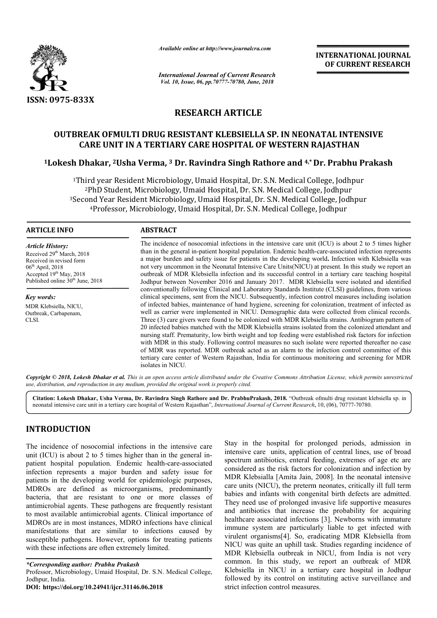

*Available online at http://www.journalcra.com*

*International Journal of Current Research Vol. 10, Issue, 06, pp.70777-70780, June, 2018*

**INTERNATIONAL JOURNAL OF CURRENT RESEARCH**

# **RESEARCH ARTICLE**

# **OUTBREAK OFMULTI DRUG RESISTANT KLEBSIELLA SP. IN NEONATAL INTENSIVE CARE UNIT IN A TERTIARY CARE HOSPITAL OF WESTERN RAJASTHAN TERTIARY CARE**

# **1Lokesh Dhakar, 2Usha Verma, Usha 3 Dr. Ravindra Singh Rathore and 4,\* Dr. Prabhu Prakash**

<sup>1</sup>Third year Resident Microbiology, Umaid Hospital, Dr. S.N. Medical College, Jodhpur 2PhD Student, Microbiology, Umaid Hospital, Dr. S.N. Medical College, Jodhpur College, Jodhpur3Second Year Resident Microbiology, Umaid Hospital, Dr. S.N. Medical College, Jodhpur <sup>4</sup>Professor, Microbiology, Umaid Hospital, Dr. S.N. Medical College, Jodhpur

### **ARTICLE INFO ABSTRACT**

*Article History:* Received 29<sup>th</sup> March, 2018 Received in revised form 06th April, 2018 Accepted 19<sup>th</sup> May, 2018 Published online  $30<sup>th</sup>$  June, 2018

*Key words:* MDR Klebsiella, NICU, Outbreak, Carbapenam, CLSI.

The incidence of nosocomial infections in the intensive care unit (ICU) is about 2 to 5 times higher The incidence of nosocomial infections in the intensive care unit (ICU) is about 2 to 5 times higher than in the general in-patient hospital population. Endemic health-care-associated infection represents a major burden and safety issue for patients in the developing world **.** Infection with Klebsiella was not very uncommon in the Neonatal Intensive Care Units(NICU) at present. In this study we report an outbreak of MDR Klebsiella infection and its successful control in a tertiary care teaching hospital Jodhpu Jodhpur between November 2016 and January 2017. MDR Klebsiella were isolated and identified conventionally following Clinical and Laboratory Standards Institute (CLSI) guidelines, from various clinical specimens, sent from the NICU. Subsequently, infection control measures including isolation of infected babies, maintenance of hand hygiene, screening for colonization, treatment of infected as well as carrier were implemented in NICU. Demographic data were collected from clinical records. Three (3) care givers were found to be colonized with MDR Klebsiella strains. Antibiogram pattern of 20 infected babies matched with the MDR Klebsiella strains isolated from the colonized attendant and of infected babies, maintenance of hand hygiene, screening for colonization, treatment of infected as<br>well as carrier were implemented in NICU. Demographic data were collected from clinical records.<br>Three (3) care givers w with MDR in this study. Following control measures no such isolate were reported thereafter no case of MDR was reported. MDR outbreak acted as an alarm to the infection control committee of this with MDR in this study. Following control measures no such isolate were reported thereafter no case<br>of MDR was reported. MDR outbreak acted as an alarm to the infection control committee of this<br>tertiary care center of Wes isolates in NICU *.* not very uncommon in the Neonatal Intensive Care Units(NICU) at present. In this study we report an<br>outbreak of MDR Klebsiella infection and its successful control in a tertiary care teaching hospital<br>Jodhpur between Novem

Copyright © 2018, Lokesh Dhakar et al. This is an open access article distributed under the Creative Commons Attribution License, which permits unrestrictea *use, distribution, and reproduction in any medium, provided the original work is properly cited.*

**Citation: Lokesh Dhakar, Usha Verma, Dr. Ravindra Singh Rathore and Dr. PrabhuPrakash, 2018.** "Outbreak ofmulti drug resistant klebsiella sp. in Citation: Lokesh Dhakar, Usha Verma, Dr. Ravindra Singh Rathore and Dr. PrabhuPrakash, 2018. "Outbreak ofmulti drug resistant klebsiella<br>neonatal intensive care unit in a tertiary care hospital of Western Rajasthan", *Inte* 

# **INTRODUCTION**

The incidence of nosocomial infections in the intensive care unit (ICU) is about 2 to 5 times higher than in the general inpatient hospital population. Endemic health-care-associated infection represents a major burden and safety issue for patients in the developing world for epidemiologic purposes, MDROs are defined as microorganisms, predominantly bacteria, that are resistant to one or more classes of antimicrobial agents. These pathogens are frequently resistant to most available antimicrobial agents. Clinical importance of MDROs are in most instances, MDRO infections have clinical manifestations that are similar to infections caused by susceptible pathogens. However, options for treating patients with these infections are often extremely limited. atients in the developing world for epidemiolo<br>
ADROs are defined as microorganisms, p<br>
acteria, that are resistant to one or more<br>
ntimicrobial agents. These pathogens are freque<br>
b most available antimicrobial agents. Cl

*\*Corresponding author: Prabhu Prakash* Professor, Microbiology, Umaid Hospital, Dr. S.N. Medical College, Jodhpur, India. **DOI: https://doi.org/10.24941/ijcr.31146.06.2018**

It is in the intensive care<br>
in the hospital for prolonged periods, admission in<br>
intensive care units, application of central lines, use of broad<br>
in an safety issue for expectrum antibiotics, enteral feeding, extremes of Stay in the hospital for prolonged periods, admission in intensive care units, application of central lines, use of broad spectrum antibiotics, enteral feeding, extremes of age etc are considered as the risk factors for colonization and infection by MDR Klebsialla [Amita Jain, 2008]. In the neonatal intensive care units (NICU), the preterm neonates, critically ill full term babies and infants with congenital birth defects are admitted. They need use of prolonged invasive life supportive measures and antibiotics that increase the probability for acquiring babies and infants with congenital birth defects are admitted.<br>They need use of prolonged invasive life supportive measures<br>and antibiotics that increase the probability for acquiring<br>healthcare associated infections [3]. immune system are particularly liable to get infected with virulent organisms[4]. So, eradicating MDR Klebsiella from NICU was quite an uphill task. Studies regarding incidence of MDR Klebsiella outbreak in NICU, from India is not very common. In this study, we report an outbreak of MDR Klebsiella in NICU in a tertiary care hospital in Jodhpur followed by its control on instituting active surveillance and strict infection control measures. antibiotics, enteral feeding, extremes of age etc are<br>d as the risk factors for colonization and infection by<br>bsialla [Amita Jain, 2008]. In the neonatal intensive mystematics.om **INTERNATIONAL JOURNAL CONNECTION CONNECTION** (CONNECTION)  $\sim$  **EXECUTE CONNECTIVE CONNECTION** (STECT) (SPIRE ALL ASSECTS AND  $\sim$  **EXECUTS** (SPIRE ALL ASSECTS) (SPIRE ALL ASSECTS) (SPIRE ALL ASSECTS) (SPI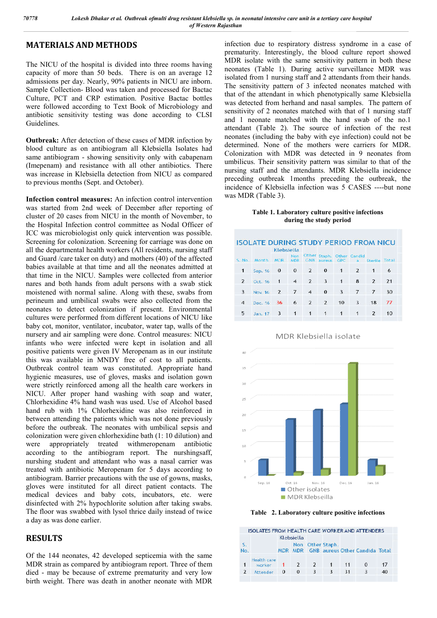## **MATERIALS AND METHODS**

The NICU of the hospital is divided into three rooms having capacity of more than 50 beds. There is on an average 12 admissions per day. Nearly, 90% patients in NICU are inborn. Sample Collection- Blood was taken and processed for Bactac Culture, PCT and CRP estimation. Positive Bactac bottles were followed according to Text Book of Microbiology and antibiotic sensitivity testing was done according to CLSI Guidelines.

**Outbreak:** After detection of these cases of MDR infection by blood culture as on antibiogram all Klebsiella Isolates had same antibiogram - showing sensitivity only with cabapenam (Imepenam) and resistance with all other antibiotics. There was increase in Klebsiella detection from NICU as compared to previous months (Sept. and October). Sollowed according to Text Book of Microbiology and<br>tic sensitivity testing was done according to CLSI<br>ines.<br>**eak:** After detection of these cases of MDR infection by<br>culture as on antibiogram all Klebsiella Isolates had<br>a

**Infection control measures:** An infection control intervention was started from 2nd week of December after reporting of cluster of 20 cases from NICU in the month of November, to the Hospital Infection control committee as Nodal Officer of ICC was microbiologist only quick intervention was possible. Screening for colonization. Screening for carriage was done on all the departmental health workers (All residents, nursing staff and Guard /care taker on duty) and mothers (40) of the affected babies available at that time and all the neonates admitted at that time in the NICU. Samples were collected from anterior nares and both hands from adult persons with a swab stick moistened with normal saline. Along with these, swabs from perineum and umbilical swabs were also collected from the neonates to detect colonization if present. Environmental cultures were performed from different locations of NICU like baby cot, monitor, ventilator, incubator, water tap, walls of the nursery and air sampling were done. Control measures: NICU infants who were infected were kept in isolation and all positive patients were given IV Meropenam as in our institute this was available in MNDY free of cost to all patients. Outbreak control team was constituted. Appropriate hand hygienic measures, use of gloves, masks and isolation gown were strictly reinforced among all the health care workers in NICU. After proper hand washing with soap and water, Chlorhexidine 4% hand wash was used. Use of Alcohol based hand rub with 1% Chlorhexidine was also reinforced in between attending the patients which was not done previously before the outbreak. The neonates with umbilical sepsis and colonization were given chlorhexidine bath (1: 10 dilution) and were appropriately treated withmeropenam antibiotic were strictly reinforced among all the health care workers in NICU. After proper hand washing with soap and water, Chlorhexidine 4% hand wash was used. Use of Alcohol based hand rub with 1% Chlorhexidine was also reinforce nurshing student and attendant who was a nasal carrier was treated with antibiotic Meropenam for 5 days according to antibiogram. Barrier precautions with the use of gowns, masks, gloves were instituted for all direct patient contacts. The medical devices and baby cots, incubators, etc. were disinfected with 2% hypochlorite solution after taking swabs. The floor was swabbed with lysol thrice daily instead of twice a day as was done earlier.

## **RESULTS**

Of the 144 neonates, 42 developed septicemia with the same MDR strain as compared by antibiogram report. Three of them died - may be because of extreme prematurity and very low birth weight. There was death in another neonate with MDR

infection due to respiratory distress syndrome in a case of prematurity. Interestingly, the blood culture report showed MDR isolate with the same sensitivity pattern in both these neonates (Table 1). During active surveillance MDR was isolated from 1 nursing staff and 2 attendants from their hands. The sensitivity pattern of 3 infected neonates matched with that of the attendant in which phenotypically same Klebsiella was detected from herhand and nasal samples. The pattern of sensitivity of 2 neonates matched with that of 1 nursing staff and 1 neonate matched with the hand swab of the no.1 attendant (Table 2). The source of infection of the rest neonates (including the baby with eye infection) could not be determined. None of the mothers were carriers for MDR. Colonization with MDR was detected in 9 neonates from umbilicus. Their sensitivity pattern was similar to that of the nursing staff and the attendants. MDR Klebsiella incidence preceding outbreak 1months preceding the outbreak, the incidence of Klebsiella infection was 5 CASES was MDR (Table 3). infection due to respiratory distress syndrome in a case of prematurity. Interestingly, the blood culture report showed MDR isolate with the same sensitivity pattern in both these neonates (Table 1). During active surveill attendant (Table 2). The source of infection of the rest neonates (including the baby with eye infection) could not be determined. None of the mothers were carriers for MDR. Colonization with MDR was detected in 9 neonates

## **Table 1. Laboratory culture positive infections ratory infections during the study period**

|                          |              | Klebsiella     |                          |                |                         |                     |        |                         |       |
|--------------------------|--------------|----------------|--------------------------|----------------|-------------------------|---------------------|--------|-------------------------|-------|
| S. No.                   | <b>Month</b> | MDR            | <b>Non</b><br><b>MDR</b> | Other<br>GNB   | Staph.<br>aureus        | Other<br><b>GPC</b> | Gandid | Sterile                 | Total |
| 1                        | Sep. 16      | $\bf{0}$       | $\Omega$                 | $\overline{2}$ | $\Omega$                | $\mathbf{1}$        | 2      | 1                       | 6     |
| $\overline{\phantom{a}}$ | Oct. 16      | 1              | $\overline{4}$           | $\overline{2}$ | $\overline{\mathbf{3}}$ | 1                   | 8      | $\overline{\mathbf{z}}$ | 21    |
| 3                        | Nov. 16      | $\overline{2}$ | 7                        | 4              | $\bf{0}$                | $\overline{3}$      |        | 7                       | 30    |
| $\overline{4}$           | Dec. 16      | 36             | 6                        | $\overline{z}$ | $\overline{z}$          | 10                  | 3      | 18                      | 77    |
| 5                        | Jan. 17      | 3              | $\mathbf{1}$             | $\mathbf{1}$   | 1                       | 1                   | ា      | $\overline{2}$          | 10    |

## MDR Klebsiella isolate



**Table 2. Laboratory culture positive infections** 

|    | <b>ISOLATES FROM HEALTH CARE WORKER AND ATTENDERS</b> |            |                   |              |    |                                       |    |
|----|-------------------------------------------------------|------------|-------------------|--------------|----|---------------------------------------|----|
|    |                                                       | Klebsiella |                   |              |    |                                       |    |
| No |                                                       | <b>MDR</b> | Non<br><b>MDR</b> | Other Staph. |    | <b>GNB</b> aureus Other Candida Total |    |
|    | Health care<br>worker                                 |            |                   |              | 11 | 0                                     |    |
|    | Attender                                              | 0          |                   |              | 31 |                                       | 40 |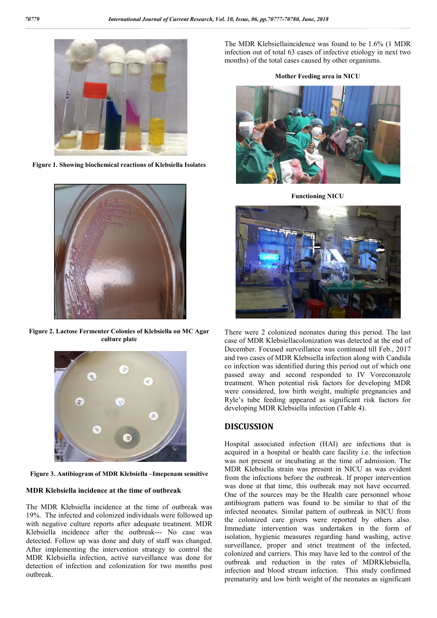![](_page_2_Picture_2.jpeg)

**Figure 1. Showing biochemical reactions of Klebsiella Isolates**

![](_page_2_Picture_4.jpeg)

**Figure 2. Lactose Fermenter Colonies of Klebsiella on MC Agar culture plate** 

![](_page_2_Picture_6.jpeg)

**Figure 3. Antibiogram of MDR Klebsiella –Imepenam sensitive** 

#### **MDR Klebsiella incidence at the time of outbreak**

The MDR Klebsiella incidence at the time of outbreak was 19%. The infected and colonized individuals were followed up with negative culture reports after adequate treatment. MDR Klebsiella incidence after the outbreak--- No case was detected. Follow up was done and duty of staff was changed. After implementing the intervention strategy to control the MDR Klebsiella infection, active surveillance was done for detection of infection and colonization for two months post outbreak.

The MDR Klebsiellaincidence was found to be 1.6% (1 MDR infection out of total 63 cases of infective etiology in next two months) of the total cases caused by other organisms.

**Mother Feeding area in NICU** 

![](_page_2_Picture_12.jpeg)

**Functioning NICU** 

![](_page_2_Picture_14.jpeg)

There were 2 colonized neonates during this period. The last case of MDR Klebsiellacolonization was detected at the end of December. Focused surveillance was continued till Feb., 2017 and two cases of MDR Klebsiella infection along with Candida co infection was identified during this period out of which one passed away and second responded to IV Voreconazole treatment. When potential risk factors for developing MDR were considered, low birth weight, multiple pregnancies and Ryle's tube feeding appeared as significant risk factors for developing MDR Klebsiella infection (Table 4).

## **DISCUSSION**

Hospital associated infection (HAI) are infections that is acquired in a hospital or health care facility i.e. the infection was not present or incubating at the time of admission. The MDR Klebsiella strain was present in NICU as was evident from the infections before the outbreak. If proper intervention was done at that time, this outbreak may not have occurred. One of the sources may be the Health care personnel whose antibiogram pattern was found to be similar to that of the infected neonates. Similar pattern of outbreak in NICU from the colonized care givers were reported by others also. Immediate intervention was undertaken in the form of isolation, hygienic measures regarding hand washing, active surveillance, proper and strict treatment of the infected, colonized and carriers. This may have led to the control of the outbreak and reduction in the rates of MDRKlebsiella, infection and blood stream infection. This study confirmed prematurity and low birth weight of the neonates as significant